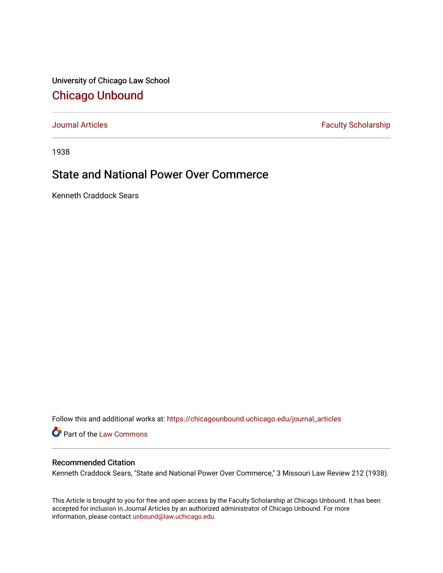University of Chicago Law School [Chicago Unbound](https://chicagounbound.uchicago.edu/)

[Journal Articles](https://chicagounbound.uchicago.edu/journal_articles) **Faculty Scholarship Faculty Scholarship** 

1938

## State and National Power Over Commerce

Kenneth Craddock Sears

Follow this and additional works at: [https://chicagounbound.uchicago.edu/journal\\_articles](https://chicagounbound.uchicago.edu/journal_articles?utm_source=chicagounbound.uchicago.edu%2Fjournal_articles%2F9395&utm_medium=PDF&utm_campaign=PDFCoverPages) 

Part of the [Law Commons](http://network.bepress.com/hgg/discipline/578?utm_source=chicagounbound.uchicago.edu%2Fjournal_articles%2F9395&utm_medium=PDF&utm_campaign=PDFCoverPages)

## Recommended Citation

Kenneth Craddock Sears, "State and National Power Over Commerce," 3 Missouri Law Review 212 (1938).

This Article is brought to you for free and open access by the Faculty Scholarship at Chicago Unbound. It has been accepted for inclusion in Journal Articles by an authorized administrator of Chicago Unbound. For more information, please contact [unbound@law.uchicago.edu](mailto:unbound@law.uchicago.edu).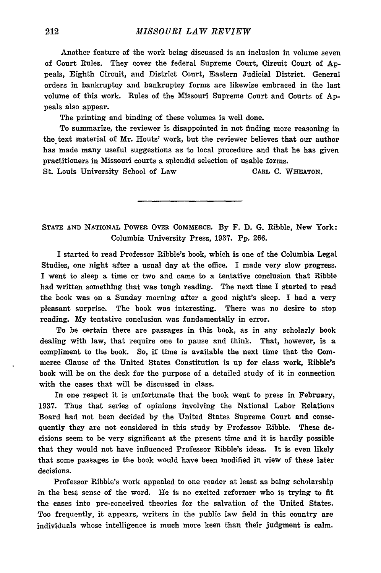Another feature of the work being discussed is an inclusion in volume seven of Court Rules. They cover the federal Supreme Court, Circuit Court of Appeals, Eighth Circuit, and District Court, Eastern Judicial District. General orders in bankruptcy and bankruptcy forms are likewise embraced in the last volume of this work. Rules of the Missouri Supreme Court and Courts of Appeals also appear.

The printing and binding of these volumes is well done.

To summarize, the reviewer is disappointed in not finding more reasoning in the text material of Mr. Houts' work, but the reviewer believes that our author has made many useful suggestions as to local procedure and that he has given practitioners in Missouri courts a splendid selection of usable forms.

St. Louis University School of Law CARL **C. WHEATON.**

**STATE AND** NATIONAL POWER OVER **COMMERCE.** By F. D. **G.** Ribble, New York: Columbia University Press, **1937. Pp.** 266.

I started to read Professor Ribble's book, which is one of the Columbia Legal Studies, one night after a usual day at the office. I made very slow progress. I went to sleep a time or two and came to a tentative conclusion that Ribble had written something that was tough reading. The next time I started to read the book was on a Sunday morning after a good night's sleep. I had a very pleasant surprise. The book was interesting. There was no desire to stop reading. My tentative conclusion was fundamentally in error.

To be certain there are passages in this book, as in any scholarly book dealing with law, that require one to pause and think. That, however, is a compliment to the book. So, if time is available the next time that the Commerce Clause of the United States Constitution is up for class work, Ribble's book will be on the desk for the purpose of a detailed study of it in connection with the cases that will be discussed in class.

In one respect it is unfortunate that the book went to press in February, **1937.** Thus that series of opinions involving the National Labor Relations Board had not been decided by the United States Supreme Court and consequently they are not considered in this study by Professor Ribble. These decisions seem to be very significant at the present time and it is hardly possible that they would not have influenced Professor Ribble's ideas. It is even likely that some passages in the book would have been modified in view of these later decisions.

Professor Ribble's work appealed to one reader at least as being scholarship in the best sense of the word. He is no excited reformer who is trying to fit the cases into pre-conceived theories for the salvation of the United States. Too frequently, it appears, writers in the public law field in this country are individuals whose intelligence is much more keen than their judgment is calm.